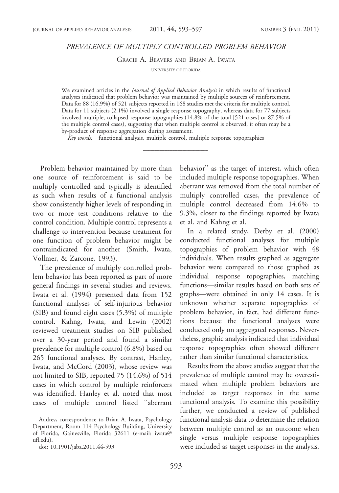# PREVALENCE OF MULTIPLY CONTROLLED PROBLEM BEHAVIOR

GRACIE A. BEAVERS AND BRIAN A. IWATA

UNIVERSITY OF FLORIDA

We examined articles in the *Journal of Applied Behavior Analysis* in which results of functional analyses indicated that problem behavior was maintained by multiple sources of reinforcement. Data for 88 (16.9%) of 521 subjects reported in 168 studies met the criteria for multiple control. Data for 11 subjects (2.1%) involved a single response topography, whereas data for 77 subjects involved multiple, collapsed response topographies (14.8% of the total [521 cases] or 87.5% of the multiple control cases), suggesting that when multiple control is observed, it often may be a by-product of response aggregation during assessment.

Key words: functional analysis, multiple control, multiple response topographies

Problem behavior maintained by more than one source of reinforcement is said to be multiply controlled and typically is identified as such when results of a functional analysis show consistently higher levels of responding in two or more test conditions relative to the control condition. Multiple control represents a challenge to intervention because treatment for one function of problem behavior might be contraindicated for another (Smith, Iwata, Vollmer, & Zarcone, 1993).

The prevalence of multiply controlled problem behavior has been reported as part of more general findings in several studies and reviews. Iwata et al. (1994) presented data from 152 functional analyses of self-injurious behavior (SIB) and found eight cases (5.3%) of multiple control. Kahng, Iwata, and Lewin (2002) reviewed treatment studies on SIB published over a 30-year period and found a similar prevalence for multiple control (6.8%) based on 265 functional analyses. By contrast, Hanley, Iwata, and McCord (2003), whose review was not limited to SIB, reported 75 (14.6%) of 514 cases in which control by multiple reinforcers was identified. Hanley et al. noted that most cases of multiple control listed ''aberrant behavior'' as the target of interest, which often included multiple response topographies. When aberrant was removed from the total number of multiply controlled cases, the prevalence of multiple control decreased from 14.6% to 9.3%, closer to the findings reported by Iwata et al. and Kahng et al.

In a related study, Derby et al. (2000) conducted functional analyses for multiple topographies of problem behavior with 48 individuals. When results graphed as aggregate behavior were compared to those graphed as individual response topographies, matching functions—similar results based on both sets of graphs—were obtained in only 14 cases. It is unknown whether separate topographies of problem behavior, in fact, had different functions because the functional analyses were conducted only on aggregated responses. Nevertheless, graphic analysis indicated that individual response topographies often showed different rather than similar functional characteristics.

Results from the above studies suggest that the prevalence of multiple control may be overestimated when multiple problem behaviors are included as target responses in the same functional analysis. To examine this possibility further, we conducted a review of published functional analysis data to determine the relation between multiple control as an outcome when single versus multiple response topographies were included as target responses in the analysis.

Address correspondence to Brian A. Iwata, Psychology Department, Room 114 Psychology Building, University of Florida, Gainesville, Florida 32611 (e-mail: iwata@ ufl.edu).

doi: 10.1901/jaba.2011.44-593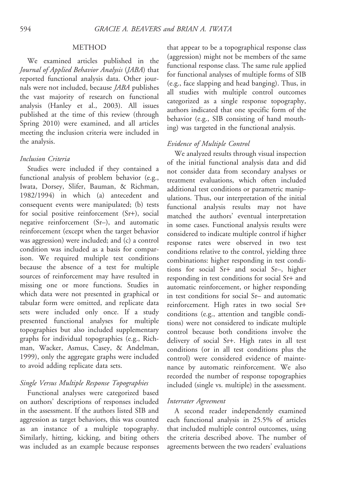### METHOD

We examined articles published in the Journal of Applied Behavior Analysis (JABA) that reported functional analysis data. Other journals were not included, because JABA publishes the vast majority of research on functional analysis (Hanley et al., 2003). All issues published at the time of this review (through Spring 2010) were examined, and all articles meeting the inclusion criteria were included in the analysis.

#### Inclusion Criteria

Studies were included if they contained a functional analysis of problem behavior (e.g., Iwata, Dorsey, Slifer, Bauman, & Richman, 1982/1994) in which (a) antecedent and consequent events were manipulated; (b) tests for social positive reinforcement (Sr+), social negative reinforcement (Sr–), and automatic reinforcement (except when the target behavior was aggression) were included; and (c) a control condition was included as a basis for comparison. We required multiple test conditions because the absence of a test for multiple sources of reinforcement may have resulted in missing one or more functions. Studies in which data were not presented in graphical or tabular form were omitted, and replicate data sets were included only once. If a study presented functional analyses for multiple topographies but also included supplementary graphs for individual topographies (e.g., Richman, Wacker, Asmus, Casey, & Andelman, 1999), only the aggregate graphs were included to avoid adding replicate data sets.

# Single Versus Multiple Response Topographies

Functional analyses were categorized based on authors' descriptions of responses included in the assessment. If the authors listed SIB and aggression as target behaviors, this was counted as an instance of a multiple topography. Similarly, hitting, kicking, and biting others was included as an example because responses

that appear to be a topographical response class (aggression) might not be members of the same functional response class. The same rule applied for functional analyses of multiple forms of SIB (e.g., face slapping and head banging). Thus, in all studies with multiple control outcomes categorized as a single response topography, authors indicated that one specific form of the behavior (e.g., SIB consisting of hand mouthing) was targeted in the functional analysis.

## Evidence of Multiple Control

We analyzed results through visual inspection of the initial functional analysis data and did not consider data from secondary analyses or treatment evaluations, which often included additional test conditions or parametric manipulations. Thus, our interpretation of the initial functional analysis results may not have matched the authors' eventual interpretation in some cases. Functional analysis results were considered to indicate multiple control if higher response rates were observed in two test conditions relative to the control, yielding three combinations: higher responding in test conditions for social Sr+ and social Sr–, higher responding in test conditions for social Sr+ and automatic reinforcement, or higher responding in test conditions for social Sr– and automatic reinforcement. High rates in two social Sr+ conditions (e.g., attention and tangible conditions) were not considered to indicate multiple control because both conditions involve the delivery of social Sr+. High rates in all test conditions (or in all test conditions plus the control) were considered evidence of maintenance by automatic reinforcement. We also recorded the number of response topographies included (single vs. multiple) in the assessment.

# Interrater Agreement

A second reader independently examined each functional analysis in 25.5% of articles that included multiple control outcomes, using the criteria described above. The number of agreements between the two readers' evaluations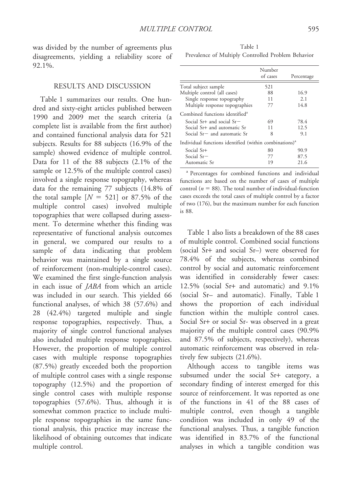was divided by the number of agreements plus disagreements, yielding a reliability score of 92.1%.

## RESULTS AND DISCUSSION

Table 1 summarizes our results. One hundred and sixty-eight articles published between 1990 and 2009 met the search criteria (a complete list is available from the first author) and contained functional analysis data for 521 subjects. Results for 88 subjects (16.9% of the sample) showed evidence of multiple control. Data for 11 of the 88 subjects (2.1% of the sample or 12.5% of the multiple control cases) involved a single response topography, whereas data for the remaining 77 subjects (14.8% of the total sample  $[N = 521]$  or 87.5% of the multiple control cases) involved multiple topographies that were collapsed during assessment. To determine whether this finding was representative of functional analysis outcomes in general, we compared our results to a sample of data indicating that problem behavior was maintained by a single source of reinforcement (non-multiple-control cases). We examined the first single-function analysis in each issue of JABA from which an article was included in our search. This yielded 66 functional analyses, of which 38 (57.6%) and 28 (42.4%) targeted multiple and single response topographies, respectively. Thus, a majority of single control functional analyses also included multiple response topographies. However, the proportion of multiple control cases with multiple response topographies (87.5%) greatly exceeded both the proportion of multiple control cases with a single response topography (12.5%) and the proportion of single control cases with multiple response topographies (57.6%). Thus, although it is somewhat common practice to include multiple response topographies in the same functional analysis, this practice may increase the likelihood of obtaining outcomes that indicate multiple control.

Table 1 Prevalence of Multiply Controlled Problem Behavior

|                                                                    | Number<br>of cases | Percentage |
|--------------------------------------------------------------------|--------------------|------------|
| Total subject sample                                               | 521                |            |
| Multiple control (all cases)                                       | 88                 | 16.9       |
| Single response topography                                         | 11                 | 2.1        |
| Multiple response topographies                                     | 77                 | 14.8       |
| Combined functions identified <sup>a</sup>                         |                    |            |
| Social Sr+ and social $Sr-$                                        | 69                 | 78.4       |
| Social Sr+ and automatic Sr                                        | 11                 | 12.5       |
| Social $Sr=$ and automatic $Sr$                                    | 8                  | 9.1        |
| Individual functions identified (within combinations) <sup>a</sup> |                    |            |
| Social Sr+                                                         | 80                 | 90.9       |
| Social $Sr-$                                                       | 77                 | 87.5       |
| Automatic Sr                                                       | 19                 | 21.6       |
|                                                                    |                    |            |

<sup>a</sup> Percentages for combined functions and individual functions are based on the number of cases of multiple control ( $n = 88$ ). The total number of individual-function cases exceeds the total cases of multiple control by a factor of two (176), but the maximum number for each function is 88.

Table 1 also lists a breakdown of the 88 cases of multiple control. Combined social functions (social Sr+ and social Sr–) were observed for 78.4% of the subjects, whereas combined control by social and automatic reinforcement was identified in considerably fewer cases: 12.5% (social Sr+ and automatic) and 9.1% (social Sr– and automatic). Finally, Table 1 shows the proportion of each individual function within the multiple control cases. Social Sr+ or social Sr- was observed in a great majority of the multiple control cases (90.9% and 87.5% of subjects, respectively), whereas automatic reinforcement was observed in relatively few subjects (21.6%).

Although access to tangible items was subsumed under the social Sr+ category, a secondary finding of interest emerged for this source of reinforcement. It was reported as one of the functions in 41 of the 88 cases of multiple control, even though a tangible condition was included in only 49 of the functional analyses. Thus, a tangible function was identified in 83.7% of the functional analyses in which a tangible condition was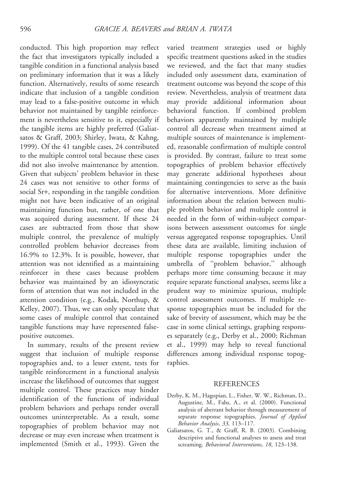conducted. This high proportion may reflect the fact that investigators typically included a tangible condition in a functional analysis based on preliminary information that it was a likely function. Alternatively, results of some research indicate that inclusion of a tangible condition may lead to a false-positive outcome in which behavior not maintained by tangible reinforcement is nevertheless sensitive to it, especially if the tangible items are highly preferred (Galiatsatos & Graff, 2003; Shirley, Iwata, & Kahng, 1999). Of the 41 tangible cases, 24 contributed to the multiple control total because these cases did not also involve maintenance by attention. Given that subjects' problem behavior in these 24 cases was not sensitive to other forms of social Sr+, responding in the tangible condition might not have been indicative of an original maintaining function but, rather, of one that was acquired during assessment. If these 24 cases are subtracted from those that show multiple control, the prevalence of multiply controlled problem behavior decreases from 16.9% to 12.3%. It is possible, however, that attention was not identified as a maintaining reinforcer in these cases because problem behavior was maintained by an idiosyncratic form of attention that was not included in the attention condition (e.g., Kodak, Northup, & Kelley, 2007). Thus, we can only speculate that some cases of multiple control that contained tangible functions may have represented falsepositive outcomes.

In summary, results of the present review suggest that inclusion of multiple response topographies and, to a lesser extent, tests for tangible reinforcement in a functional analysis increase the likelihood of outcomes that suggest multiple control. These practices may hinder identification of the functions of individual problem behaviors and perhaps render overall outcomes uninterpretable. As a result, some topographies of problem behavior may not decrease or may even increase when treatment is implemented (Smith et al., 1993). Given the

varied treatment strategies used or highly specific treatment questions asked in the studies we reviewed, and the fact that many studies included only assessment data, examination of treatment outcome was beyond the scope of this review. Nevertheless, analysis of treatment data may provide additional information about behavioral function. If combined problem behaviors apparently maintained by multiple control all decrease when treatment aimed at multiple sources of maintenance is implemented, reasonable confirmation of multiple control is provided. By contrast, failure to treat some topographies of problem behavior effectively may generate additional hypotheses about maintaining contingencies to serve as the basis for alternative interventions. More definitive information about the relation between multiple problem behavior and multiple control is needed in the form of within-subject comparisons between assessment outcomes for single versus aggregated response topographies. Until these data are available, limiting inclusion of multiple response topographies under the umbrella of ''problem behavior,'' although perhaps more time consuming because it may require separate functional analyses, seems like a prudent way to minimize spurious, multiple control assessment outcomes. If multiple response topographies must be included for the sake of brevity of assessment, which may be the case in some clinical settings, graphing responses separately (e.g., Derby et al., 2000; Richman et al., 1999) may help to reveal functional differences among individual response topographies.

### **REFERENCES**

- Derby, K. M., Hagopian, L., Fisher, W. W., Richman, D., Augustine, M., Fahs, A., et al. (2000). Functional analysis of aberrant behavior through measurement of separate response topographies. Journal of Applied Behavior Analysis, 33, 113–117.
- Galiatsatos, G. T., & Graff, R. B. (2003). Combining descriptive and functional analyses to assess and treat screaming. Behavioral Interventions, 18, 123–138.